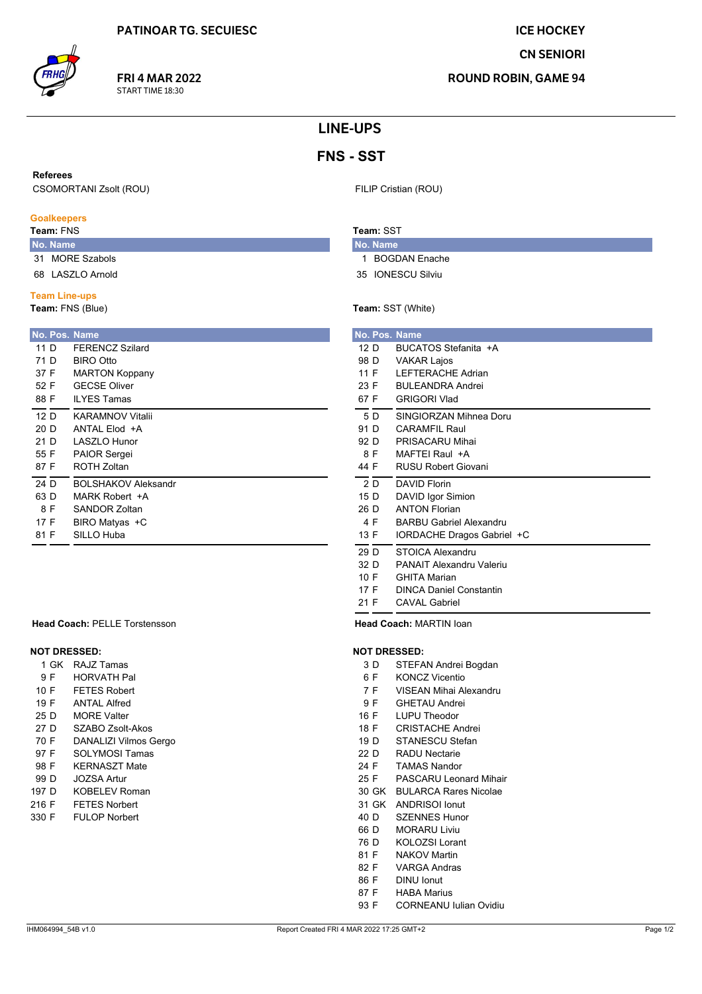**CN SENIORI** 

**ROUND ROBIN, GAME 94** 

# **LINE-UPS**

# **FNS - SST**

#### **Referees**

**CSOMORTANI Zsolt (ROU)** 

### **Goalkeepers**

Team: FNS

- No. Name 31 MORE Szabols
- 68 LASZLO Arnold

## **Team Line-ups**

Team: FNS (Blue)

| No. Pos. Name |                            |
|---------------|----------------------------|
| 11 D          | <b>FFRENCZ Szilard</b>     |
| 71 D          | BIRO Otto                  |
| 37 F          | <b>MARTON Koppany</b>      |
| 52 F          | <b>GECSE Oliver</b>        |
| 88 F          | <b>ILYES Tamas</b>         |
| 12 D          | <b>KARAMNOV Vitalii</b>    |
| 20 D          | ANTAI Flod +A              |
| 21 D          | I ASZI O Hunor             |
| 55 F          | PAIOR Sergei               |
| 87 F          | <b>ROTH Zoltan</b>         |
| 24 D          | <b>BOLSHAKOV Aleksandr</b> |
| 63 D          | MARK Robert +A             |
| 8 F           | SANDOR Zoltan              |
| 17 F          | BIRO Matyas +C             |
| 81 F          | SILLO Huba                 |
|               |                            |

#### **Head Coach: PELLE Torstensson**

# **NOT DRESSED:**

| 1 GK | RAJZ Tamas         |
|------|--------------------|
| 9 F  | <b>HORVATH Pal</b> |

- **FETES Robert** 10 F
- 19 F **ANTAL Alfred**
- 25 D **MORE Valter**
- 27 D SZABO Zsolt-Akos
- 70 F **DANALIZI Vilmos Gergo** 97 F
- **SOLYMOSI Tamas** 98 F **KERNASZT Mate**
- 99 D **JOZSA Artur**
- 197 D **KOBELEV Roman**
- 216 F **FETES Norbert**
- **FULOP Norbert** 330 F

# Team: SST

No. Name 1 BOGDAN Enache

FILIP Cristian (ROU)

- 35 IONESCU Silviu
- 

# Team: SST (White)

|      |      | No. Pos. Name                  |
|------|------|--------------------------------|
| 12 D |      | BUCATOS Stefanita +A           |
|      | 98 D | <b>VAKAR Lajos</b>             |
| 11 F |      | LEFTERACHE Adrian              |
| 23 F |      | <b>BULEANDRA Andrei</b>        |
| 67 F |      | <b>GRIGORI Vlad</b>            |
| 5 D  |      | SINGIORZAN Mihnea Doru         |
| 91 D |      | <b>CARAMFIL Raul</b>           |
| 92 D |      | PRISACARU Mihai                |
| 8 F  |      | MAFTFI Raul +A                 |
| 44 F |      | <b>RUSU Robert Giovani</b>     |
| 2D   |      | <b>DAVID Florin</b>            |
| 15 D |      | DAVID Igor Simion              |
| 26 D |      | <b>ANTON Florian</b>           |
| 4 F  |      | <b>BARBU Gabriel Alexandru</b> |
| 13 F |      | IORDACHE Dragos Gabriel +C     |
| 29 D |      | <b>STOICA Alexandru</b>        |
| 32 D |      | PANAIT Alexandru Valeriu       |
| 10 F |      | <b>GHITA Marian</b>            |
| 17 F |      | <b>DINCA Daniel Constantin</b> |
| 21 F |      | <b>CAVAL Gabriel</b>           |

Head Coach: MARTIN loan

## **NOT DRESSED:**

- $3D$ STEFAN Andrei Bogdan
- $6F$ **KONCZ Vicentio**
- VISEAN Mihai Alexandru  $7F$
- 9F **GHETAU Andrei**
- 16 F **LUPU Theodor**
- **CRISTACHE Andrei** 18 F
- STANESCU Stefan 19 D
- $22D$ **RADU Nectarie**
- 24 F **TAMAS Nandor**
- 25 F **PASCARU Leonard Mihair**
- 30 GK BULARCA Rares Nicolae
- 31 GK ANDRISOI Ionut
- **SZENNES Hunor** 40 D
- 66 D MORARU Liviu
- 76 D **KOLOZSI Lorant**
- 81 F **NAKOV Martin**
- 82 F **VARGA Andras**
- 86 F **DINU lonut**
- 87 F **HABA Marius**
- **CORNEANU Iulian Ovidiu** 93 F